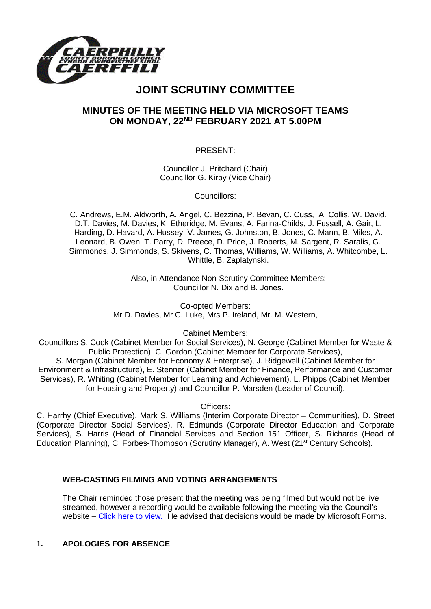

# **JOINT SCRUTINY COMMITTEE**

## **MINUTES OF THE MEETING HELD VIA MICROSOFT TEAMS ON MONDAY, 22ND FEBRUARY 2021 AT 5.00PM**

PRESENT:

Councillor J. Pritchard (Chair) Councillor G. Kirby (Vice Chair)

Councillors:

C. Andrews, E.M. Aldworth, A. Angel, C. Bezzina, P. Bevan, C. Cuss, A. Collis, W. David, D.T. Davies, M. Davies, K. Etheridge, M. Evans, A. Farina-Childs, J. Fussell, A. Gair, L. Harding, D. Havard, A. Hussey, V. James, G. Johnston, B. Jones, C. Mann, B. Miles, A. Leonard, B. Owen, T. Parry, D. Preece, D. Price, J. Roberts, M. Sargent, R. Saralis, G. Simmonds, J. Simmonds, S. Skivens, C. Thomas, Williams, W. Williams, A. Whitcombe, L. Whittle, B. Zaplatynski.

> Also, in Attendance Non-Scrutiny Committee Members: Councillor N. Dix and B. Jones.

Co-opted Members: Mr D. Davies, Mr C. Luke, Mrs P. Ireland, Mr. M. Western,

Cabinet Members:

Councillors S. Cook (Cabinet Member for Social Services), N. George (Cabinet Member for Waste & Public Protection), C. Gordon (Cabinet Member for Corporate Services),

S. Morgan (Cabinet Member for Economy & Enterprise), J. Ridgewell (Cabinet Member for Environment & Infrastructure), E. Stenner (Cabinet Member for Finance, Performance and Customer Services), R. Whiting (Cabinet Member for Learning and Achievement), L. Phipps (Cabinet Member for Housing and Property) and Councillor P. Marsden (Leader of Council).

Officers:

C. Harrhy (Chief Executive), Mark S. Williams (Interim Corporate Director – Communities), D. Street (Corporate Director Social Services), R. Edmunds (Corporate Director Education and Corporate Services), S. Harris (Head of Financial Services and Section 151 Officer, S. Richards (Head of Education Planning), C. Forbes-Thompson (Scrutiny Manager), A. West (21st Century Schools).

## **WEB-CASTING FILMING AND VOTING ARRANGEMENTS**

The Chair reminded those present that the meeting was being filmed but would not be live streamed, however a recording would be available following the meeting via the Council's website – [Click here to view.](https://www.caerphilly.gov.uk/My-Council/Meetings,-agendas,-minutes-and-reports/Council-meetings) He advised that decisions would be made by Microsoft Forms.

## **1. APOLOGIES FOR ABSENCE**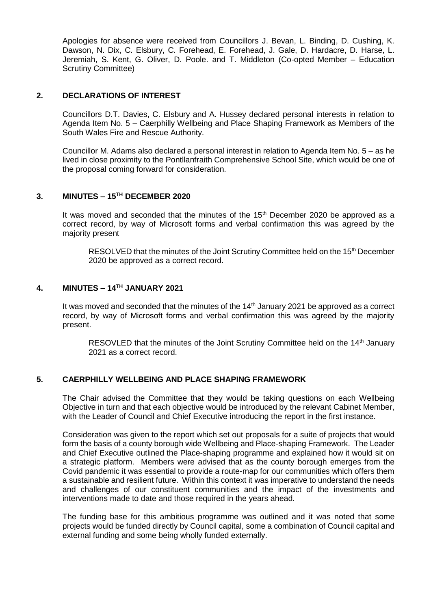Apologies for absence were received from Councillors J. Bevan, L. Binding, D. Cushing, K. Dawson, N. Dix, C. Elsbury, C. Forehead, E. Forehead, J. Gale, D. Hardacre, D. Harse, L. Jeremiah, S. Kent, G. Oliver, D. Poole. and T. Middleton (Co-opted Member – Education Scrutiny Committee)

#### **2. DECLARATIONS OF INTEREST**

Councillors D.T. Davies, C. Elsbury and A. Hussey declared personal interests in relation to Agenda Item No. 5 – Caerphilly Wellbeing and Place Shaping Framework as Members of the South Wales Fire and Rescue Authority.

Councillor M. Adams also declared a personal interest in relation to Agenda Item No. 5 – as he lived in close proximity to the Pontllanfraith Comprehensive School Site, which would be one of the proposal coming forward for consideration.

## **3. MINUTES – 15TH DECEMBER 2020**

It was moved and seconded that the minutes of the  $15<sup>th</sup>$  December 2020 be approved as a correct record, by way of Microsoft forms and verbal confirmation this was agreed by the majority present

RESOLVED that the minutes of the Joint Scrutiny Committee held on the 15<sup>th</sup> December 2020 be approved as a correct record.

#### **4. MINUTES – 14TH JANUARY 2021**

It was moved and seconded that the minutes of the  $14<sup>th</sup>$  January 2021 be approved as a correct record, by way of Microsoft forms and verbal confirmation this was agreed by the majority present.

RESOVLED that the minutes of the Joint Scrutiny Committee held on the 14<sup>th</sup> January 2021 as a correct record.

#### **5. CAERPHILLY WELLBEING AND PLACE SHAPING FRAMEWORK**

The Chair advised the Committee that they would be taking questions on each Wellbeing Objective in turn and that each objective would be introduced by the relevant Cabinet Member, with the Leader of Council and Chief Executive introducing the report in the first instance.

Consideration was given to the report which set out proposals for a suite of projects that would form the basis of a county borough wide Wellbeing and Place-shaping Framework. The Leader and Chief Executive outlined the Place-shaping programme and explained how it would sit on a strategic platform. Members were advised that as the county borough emerges from the Covid pandemic it was essential to provide a route-map for our communities which offers them a sustainable and resilient future. Within this context it was imperative to understand the needs and challenges of our constituent communities and the impact of the investments and interventions made to date and those required in the years ahead.

The funding base for this ambitious programme was outlined and it was noted that some projects would be funded directly by Council capital, some a combination of Council capital and external funding and some being wholly funded externally.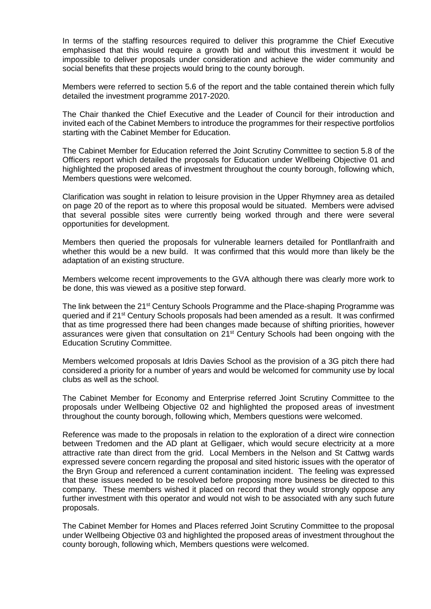In terms of the staffing resources required to deliver this programme the Chief Executive emphasised that this would require a growth bid and without this investment it would be impossible to deliver proposals under consideration and achieve the wider community and social benefits that these projects would bring to the county borough.

Members were referred to section 5.6 of the report and the table contained therein which fully detailed the investment programme 2017-2020.

The Chair thanked the Chief Executive and the Leader of Council for their introduction and invited each of the Cabinet Members to introduce the programmes for their respective portfolios starting with the Cabinet Member for Education.

The Cabinet Member for Education referred the Joint Scrutiny Committee to section 5.8 of the Officers report which detailed the proposals for Education under Wellbeing Objective 01 and highlighted the proposed areas of investment throughout the county borough, following which, Members questions were welcomed.

Clarification was sought in relation to leisure provision in the Upper Rhymney area as detailed on page 20 of the report as to where this proposal would be situated. Members were advised that several possible sites were currently being worked through and there were several opportunities for development.

Members then queried the proposals for vulnerable learners detailed for Pontllanfraith and whether this would be a new build. It was confirmed that this would more than likely be the adaptation of an existing structure.

Members welcome recent improvements to the GVA although there was clearly more work to be done, this was viewed as a positive step forward.

The link between the 21<sup>st</sup> Century Schools Programme and the Place-shaping Programme was queried and if 21<sup>st</sup> Century Schools proposals had been amended as a result. It was confirmed that as time progressed there had been changes made because of shifting priorities, however assurances were given that consultation on 21st Century Schools had been ongoing with the Education Scrutiny Committee.

Members welcomed proposals at Idris Davies School as the provision of a 3G pitch there had considered a priority for a number of years and would be welcomed for community use by local clubs as well as the school.

The Cabinet Member for Economy and Enterprise referred Joint Scrutiny Committee to the proposals under Wellbeing Objective 02 and highlighted the proposed areas of investment throughout the county borough, following which, Members questions were welcomed.

Reference was made to the proposals in relation to the exploration of a direct wire connection between Tredomen and the AD plant at Gelligaer, which would secure electricity at a more attractive rate than direct from the grid. Local Members in the Nelson and St Cattwg wards expressed severe concern regarding the proposal and sited historic issues with the operator of the Bryn Group and referenced a current contamination incident. The feeling was expressed that these issues needed to be resolved before proposing more business be directed to this company. These members wished it placed on record that they would strongly oppose any further investment with this operator and would not wish to be associated with any such future proposals.

The Cabinet Member for Homes and Places referred Joint Scrutiny Committee to the proposal under Wellbeing Objective 03 and highlighted the proposed areas of investment throughout the county borough, following which, Members questions were welcomed.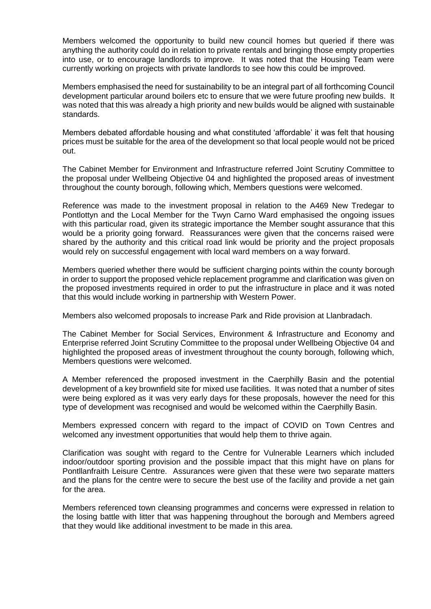Members welcomed the opportunity to build new council homes but queried if there was anything the authority could do in relation to private rentals and bringing those empty properties into use, or to encourage landlords to improve. It was noted that the Housing Team were currently working on projects with private landlords to see how this could be improved.

Members emphasised the need for sustainability to be an integral part of all forthcoming Council development particular around boilers etc to ensure that we were future proofing new builds. It was noted that this was already a high priority and new builds would be aligned with sustainable standards.

Members debated affordable housing and what constituted 'affordable' it was felt that housing prices must be suitable for the area of the development so that local people would not be priced out.

The Cabinet Member for Environment and Infrastructure referred Joint Scrutiny Committee to the proposal under Wellbeing Objective 04 and highlighted the proposed areas of investment throughout the county borough, following which, Members questions were welcomed.

Reference was made to the investment proposal in relation to the A469 New Tredegar to Pontlottyn and the Local Member for the Twyn Carno Ward emphasised the ongoing issues with this particular road, given its strategic importance the Member sought assurance that this would be a priority going forward. Reassurances were given that the concerns raised were shared by the authority and this critical road link would be priority and the project proposals would rely on successful engagement with local ward members on a way forward.

Members queried whether there would be sufficient charging points within the county borough in order to support the proposed vehicle replacement programme and clarification was given on the proposed investments required in order to put the infrastructure in place and it was noted that this would include working in partnership with Western Power.

Members also welcomed proposals to increase Park and Ride provision at Llanbradach.

The Cabinet Member for Social Services, Environment & Infrastructure and Economy and Enterprise referred Joint Scrutiny Committee to the proposal under Wellbeing Objective 04 and highlighted the proposed areas of investment throughout the county borough, following which, Members questions were welcomed.

A Member referenced the proposed investment in the Caerphilly Basin and the potential development of a key brownfield site for mixed use facilities. It was noted that a number of sites were being explored as it was very early days for these proposals, however the need for this type of development was recognised and would be welcomed within the Caerphilly Basin.

Members expressed concern with regard to the impact of COVID on Town Centres and welcomed any investment opportunities that would help them to thrive again.

Clarification was sought with regard to the Centre for Vulnerable Learners which included indoor/outdoor sporting provision and the possible impact that this might have on plans for Pontllanfraith Leisure Centre. Assurances were given that these were two separate matters and the plans for the centre were to secure the best use of the facility and provide a net gain for the area.

Members referenced town cleansing programmes and concerns were expressed in relation to the losing battle with litter that was happening throughout the borough and Members agreed that they would like additional investment to be made in this area.